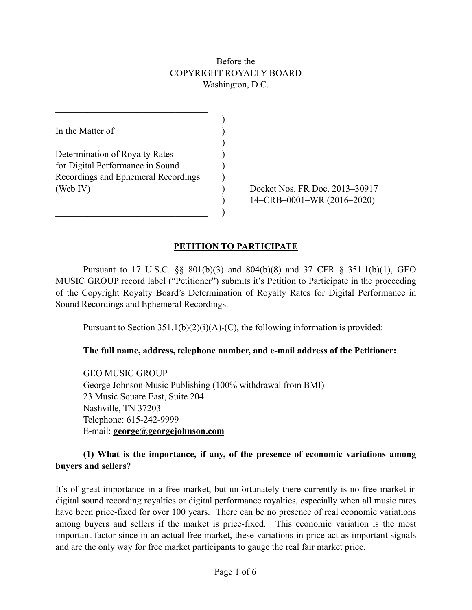# Before the COPYRIGHT ROYALTY BOARD Washington, D.C.

| In the Matter of                    |  |
|-------------------------------------|--|
|                                     |  |
| Determination of Royalty Rates      |  |
| for Digital Performance in Sound    |  |
| Recordings and Ephemeral Recordings |  |
| (Web IV)                            |  |
|                                     |  |
|                                     |  |

 $\mathcal{L}_\text{max}$ 

(B) Docket Nos. FR Doc. 2013–30917  $14$ –CRB–0001–WR (2016–2020)

# **PETITION TO PARTICIPATE**

 Pursuant to 17 U.S.C. §§ 801(b)(3) and 804(b)(8) and 37 CFR § 351.1(b)(1), GEO MUSIC GROUP record label ("Petitioner") submits it's Petition to Participate in the proceeding of the Copyright Royalty Board's Determination of Royalty Rates for Digital Performance in Sound Recordings and Ephemeral Recordings.

Pursuant to Section  $351.1(b)(2)(i)(A)-(C)$ , the following information is provided:

#### **The full name, address, telephone number, and e-mail address of the Petitioner:**

 GEO MUSIC GROUP George Johnson Music Publishing (100% withdrawal from BMI) 23 Music Square East, Suite 204 Nashville, TN 37203 Telephone: 615-242-9999 E-mail: **[george@georgejohnson.com](mailto:george@georgejohnson.com)**

#### **(1) What is the importance, if any, of the presence of economic variations among buyers and sellers?**

It's of great importance in a free market, but unfortunately there currently is no free market in digital sound recording royalties or digital performance royalties, especially when all music rates have been price-fixed for over 100 years. There can be no presence of real economic variations among buyers and sellers if the market is price-fixed. This economic variation is the most important factor since in an actual free market, these variations in price act as important signals and are the only way for free market participants to gauge the real fair market price.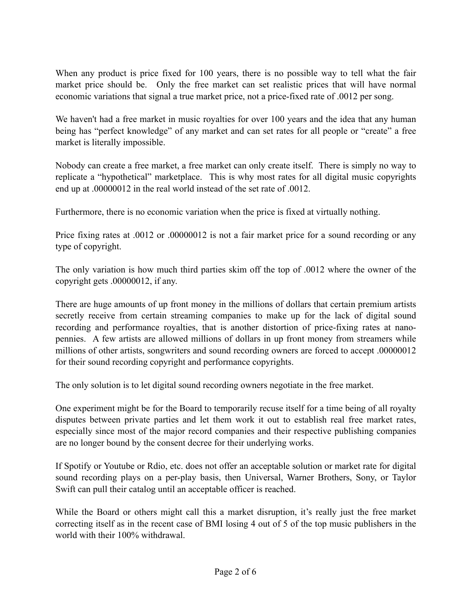When any product is price fixed for 100 years, there is no possible way to tell what the fair market price should be. Only the free market can set realistic prices that will have normal economic variations that signal a true market price, not a price-fixed rate of .0012 per song.

We haven't had a free market in music royalties for over 100 years and the idea that any human being has "perfect knowledge" of any market and can set rates for all people or "create" a free market is literally impossible.

Nobody can create a free market, a free market can only create itself. There is simply no way to replicate a "hypothetical" marketplace. This is why most rates for all digital music copyrights end up at .00000012 in the real world instead of the set rate of .0012.

Furthermore, there is no economic variation when the price is fixed at virtually nothing.

Price fixing rates at .0012 or .00000012 is not a fair market price for a sound recording or any type of copyright.

The only variation is how much third parties skim off the top of .0012 where the owner of the copyright gets .00000012, if any.

There are huge amounts of up front money in the millions of dollars that certain premium artists secretly receive from certain streaming companies to make up for the lack of digital sound recording and performance royalties, that is another distortion of price-fixing rates at nanopennies. A few artists are allowed millions of dollars in up front money from streamers while millions of other artists, songwriters and sound recording owners are forced to accept .00000012 for their sound recording copyright and performance copyrights.

The only solution is to let digital sound recording owners negotiate in the free market.

One experiment might be for the Board to temporarily recuse itself for a time being of all royalty disputes between private parties and let them work it out to establish real free market rates, especially since most of the major record companies and their respective publishing companies are no longer bound by the consent decree for their underlying works.

If Spotify or Youtube or Rdio, etc. does not offer an acceptable solution or market rate for digital sound recording plays on a per-play basis, then Universal, Warner Brothers, Sony, or Taylor Swift can pull their catalog until an acceptable officer is reached.

While the Board or others might call this a market disruption, it's really just the free market correcting itself as in the recent case of BMI losing 4 out of 5 of the top music publishers in the world with their 100% withdrawal.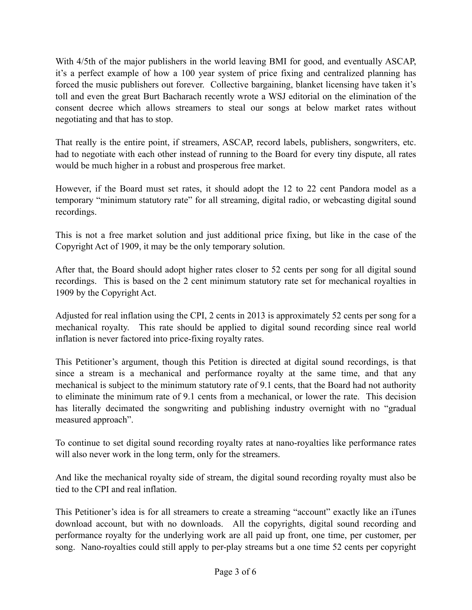With 4/5th of the major publishers in the world leaving BMI for good, and eventually ASCAP, it's a perfect example of how a 100 year system of price fixing and centralized planning has forced the music publishers out forever. Collective bargaining, blanket licensing have taken it's toll and even the great Burt Bacharach recently wrote a WSJ editorial on the elimination of the consent decree which allows streamers to steal our songs at below market rates without negotiating and that has to stop.

That really is the entire point, if streamers, ASCAP, record labels, publishers, songwriters, etc. had to negotiate with each other instead of running to the Board for every tiny dispute, all rates would be much higher in a robust and prosperous free market.

However, if the Board must set rates, it should adopt the 12 to 22 cent Pandora model as a temporary "minimum statutory rate" for all streaming, digital radio, or webcasting digital sound recordings.

This is not a free market solution and just additional price fixing, but like in the case of the Copyright Act of 1909, it may be the only temporary solution.

After that, the Board should adopt higher rates closer to 52 cents per song for all digital sound recordings. This is based on the 2 cent minimum statutory rate set for mechanical royalties in 1909 by the Copyright Act.

Adjusted for real inflation using the CPI, 2 cents in 2013 is approximately 52 cents per song for a mechanical royalty. This rate should be applied to digital sound recording since real world inflation is never factored into price-fixing royalty rates.

This Petitioner's argument, though this Petition is directed at digital sound recordings, is that since a stream is a mechanical and performance royalty at the same time, and that any mechanical is subject to the minimum statutory rate of 9.1 cents, that the Board had not authority to eliminate the minimum rate of 9.1 cents from a mechanical, or lower the rate. This decision has literally decimated the songwriting and publishing industry overnight with no "gradual measured approach".

To continue to set digital sound recording royalty rates at nano-royalties like performance rates will also never work in the long term, only for the streamers.

And like the mechanical royalty side of stream, the digital sound recording royalty must also be tied to the CPI and real inflation.

This Petitioner's idea is for all streamers to create a streaming "account" exactly like an iTunes download account, but with no downloads. All the copyrights, digital sound recording and performance royalty for the underlying work are all paid up front, one time, per customer, per song. Nano-royalties could still apply to per-play streams but a one time 52 cents per copyright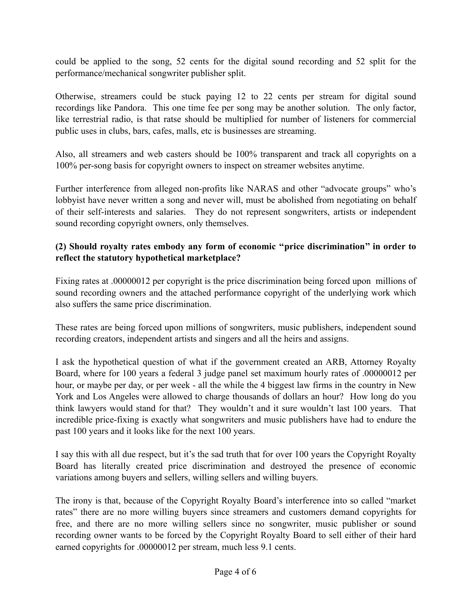could be applied to the song, 52 cents for the digital sound recording and 52 split for the performance/mechanical songwriter publisher split.

Otherwise, streamers could be stuck paying 12 to 22 cents per stream for digital sound recordings like Pandora. This one time fee per song may be another solution. The only factor, like terrestrial radio, is that ratse should be multiplied for number of listeners for commercial public uses in clubs, bars, cafes, malls, etc is businesses are streaming.

Also, all streamers and web casters should be 100% transparent and track all copyrights on a 100% per-song basis for copyright owners to inspect on streamer websites anytime.

Further interference from alleged non-profits like NARAS and other "advocate groups" who's lobbyist have never written a song and never will, must be abolished from negotiating on behalf of their self-interests and salaries. They do not represent songwriters, artists or independent sound recording copyright owners, only themselves.

# **(2) Should royalty rates embody any form of economic ''price discrimination'' in order to reflect the statutory hypothetical marketplace?**

Fixing rates at .00000012 per copyright is the price discrimination being forced upon millions of sound recording owners and the attached performance copyright of the underlying work which also suffers the same price discrimination.

These rates are being forced upon millions of songwriters, music publishers, independent sound recording creators, independent artists and singers and all the heirs and assigns.

I ask the hypothetical question of what if the government created an ARB, Attorney Royalty Board, where for 100 years a federal 3 judge panel set maximum hourly rates of .00000012 per hour, or maybe per day, or per week - all the while the 4 biggest law firms in the country in New York and Los Angeles were allowed to charge thousands of dollars an hour? How long do you think lawyers would stand for that? They wouldn't and it sure wouldn't last 100 years. That incredible price-fixing is exactly what songwriters and music publishers have had to endure the past 100 years and it looks like for the next 100 years.

I say this with all due respect, but it's the sad truth that for over 100 years the Copyright Royalty Board has literally created price discrimination and destroyed the presence of economic variations among buyers and sellers, willing sellers and willing buyers.

The irony is that, because of the Copyright Royalty Board's interference into so called "market rates" there are no more willing buyers since streamers and customers demand copyrights for free, and there are no more willing sellers since no songwriter, music publisher or sound recording owner wants to be forced by the Copyright Royalty Board to sell either of their hard earned copyrights for .00000012 per stream, much less 9.1 cents.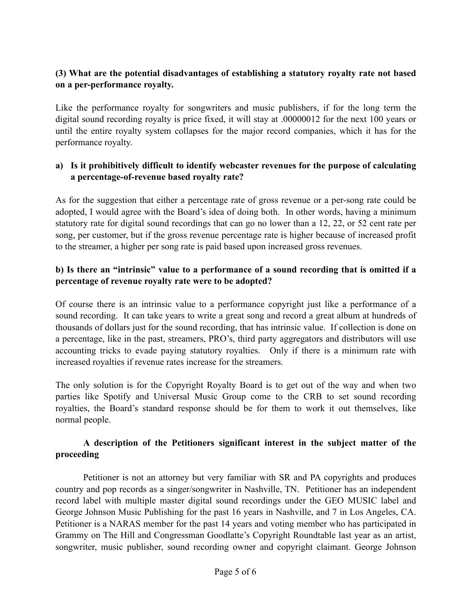# **(3) What are the potential disadvantages of establishing a statutory royalty rate not based on a per-performance royalty.**

Like the performance royalty for songwriters and music publishers, if for the long term the digital sound recording royalty is price fixed, it will stay at .00000012 for the next 100 years or until the entire royalty system collapses for the major record companies, which it has for the performance royalty.

#### **a) Is it prohibitively difficult to identify webcaster revenues for the purpose of calculating a percentage-of-revenue based royalty rate?**

As for the suggestion that either a percentage rate of gross revenue or a per-song rate could be adopted, I would agree with the Board's idea of doing both. In other words, having a minimum statutory rate for digital sound recordings that can go no lower than a 12, 22, or 52 cent rate per song, per customer, but if the gross revenue percentage rate is higher because of increased profit to the streamer, a higher per song rate is paid based upon increased gross revenues.

# **b) Is there an "intrinsic" value to a performance of a sound recording that is omitted if a percentage of revenue royalty rate were to be adopted?**

Of course there is an intrinsic value to a performance copyright just like a performance of a sound recording. It can take years to write a great song and record a great album at hundreds of thousands of dollars just for the sound recording, that has intrinsic value. If collection is done on a percentage, like in the past, streamers, PRO's, third party aggregators and distributors will use accounting tricks to evade paying statutory royalties. Only if there is a minimum rate with increased royalties if revenue rates increase for the streamers.

The only solution is for the Copyright Royalty Board is to get out of the way and when two parties like Spotify and Universal Music Group come to the CRB to set sound recording royalties, the Board's standard response should be for them to work it out themselves, like normal people.

# **A description of the Petitioners significant interest in the subject matter of the proceeding**

 Petitioner is not an attorney but very familiar with SR and PA copyrights and produces country and pop records as a singer/songwriter in Nashville, TN. Petitioner has an independent record label with multiple master digital sound recordings under the GEO MUSIC label and George Johnson Music Publishing for the past 16 years in Nashville, and 7 in Los Angeles, CA. Petitioner is a NARAS member for the past 14 years and voting member who has participated in Grammy on The Hill and Congressman Goodlatte's Copyright Roundtable last year as an artist, songwriter, music publisher, sound recording owner and copyright claimant. George Johnson